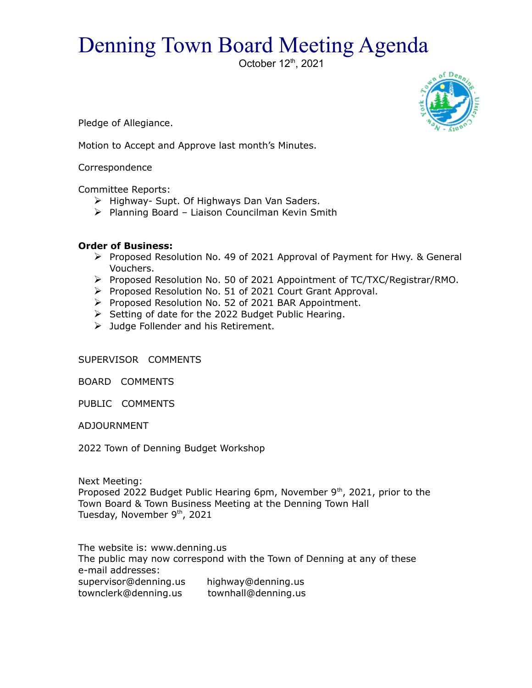## Denning Town Board Meeting Agenda

October 12<sup>th</sup>, 2021



Pledge of Allegiance.

Motion to Accept and Approve last month's Minutes.

Correspondence

Committee Reports:

- $\triangleright$  Highway- Supt. Of Highways Dan Van Saders.
- $\triangleright$  Planning Board Liaison Councilman Kevin Smith

## **Order of Business:**

- $\triangleright$  Proposed Resolution No. 49 of 2021 Approval of Payment for Hwy. & General Vouchers.
- Proposed Resolution No. 50 of 2021 Appointment of TC/TXC/Registrar/RMO.
- Proposed Resolution No. 51 of 2021 Court Grant Approval.
- Proposed Resolution No. 52 of 2021 BAR Appointment.
- $\triangleright$  Setting of date for the 2022 Budget Public Hearing.
- > Judge Follender and his Retirement.

SUPERVISOR COMMENTS

BOARD COMMENTS

PUBLIC COMMENTS

ADJOURNMENT

2022 Town of Denning Budget Workshop

Next Meeting: Proposed 2022 Budget Public Hearing 6pm, November  $9<sup>th</sup>$ , 2021, prior to the Town Board & Town Business Meeting at the Denning Town Hall Tuesday, November 9th, 2021

The website is: www.denning.us The public may now correspond with the Town of Denning at any of these e-mail addresses: supervisor@denning.us highway@denning.us townclerk@denning.us townhall@denning.us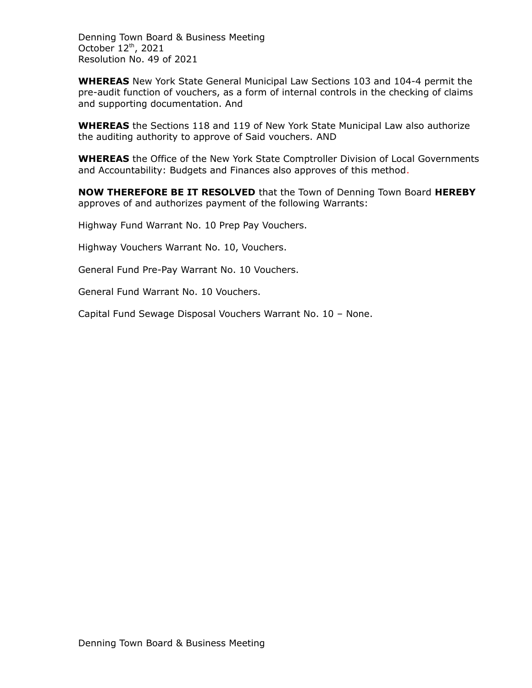Denning Town Board & Business Meeting October 12th, 2021 Resolution No. 49 of 2021

**WHEREAS** New York State General Municipal Law Sections 103 and 104-4 permit the pre-audit function of vouchers, as a form of internal controls in the checking of claims and supporting documentation. And

**WHEREAS** the Sections 118 and 119 of New York State Municipal Law also authorize the auditing authority to approve of Said vouchers. AND

**WHEREAS** the Office of the New York State Comptroller Division of Local Governments and Accountability: Budgets and Finances also approves of this method.

**NOW THEREFORE BE IT RESOLVED** that the Town of Denning Town Board **HEREBY** approves of and authorizes payment of the following Warrants:

Highway Fund Warrant No. 10 Prep Pay Vouchers.

Highway Vouchers Warrant No. 10, Vouchers.

General Fund Pre-Pay Warrant No. 10 Vouchers.

General Fund Warrant No. 10 Vouchers.

Capital Fund Sewage Disposal Vouchers Warrant No. 10 – None.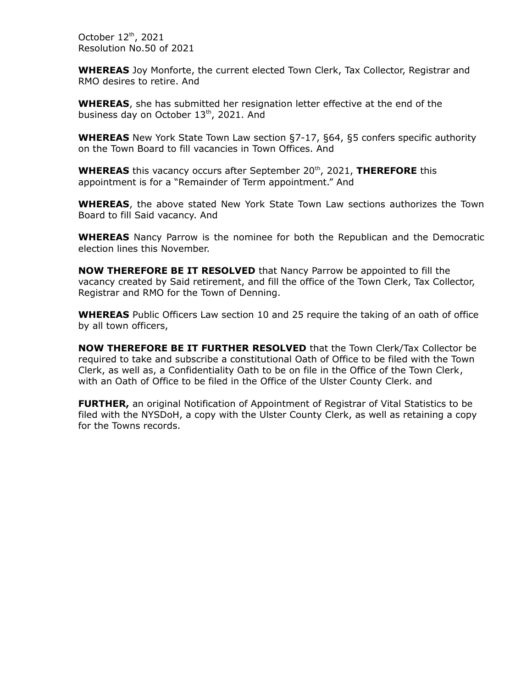October 12th, 2021 Resolution No.50 of 2021

**WHEREAS** Joy Monforte, the current elected Town Clerk, Tax Collector, Registrar and RMO desires to retire. And

**WHEREAS**, she has submitted her resignation letter effective at the end of the business day on October 13th, 2021. And

**WHEREAS** New York State Town Law section §7-17, §64, §5 confers specific authority on the Town Board to fill vacancies in Town Offices. And

**WHEREAS** this vacancy occurs after September 20<sup>th</sup>, 2021, **THEREFORE** this appointment is for a "Remainder of Term appointment." And

**WHEREAS**, the above stated New York State Town Law sections authorizes the Town Board to fill Said vacancy. And

**WHEREAS** Nancy Parrow is the nominee for both the Republican and the Democratic election lines this November.

**NOW THEREFORE BE IT RESOLVED** that Nancy Parrow be appointed to fill the vacancy created by Said retirement, and fill the office of the Town Clerk, Tax Collector, Registrar and RMO for the Town of Denning.

**WHEREAS** Public Officers Law section 10 and 25 require the taking of an oath of office by all town officers,

**NOW THEREFORE BE IT FURTHER RESOLVED** that the Town Clerk/Tax Collector be required to take and subscribe a constitutional Oath of Office to be filed with the Town Clerk, as well as, a Confidentiality Oath to be on file in the Office of the Town Clerk, with an Oath of Office to be filed in the Office of the Ulster County Clerk. and

**FURTHER,** an original Notification of Appointment of Registrar of Vital Statistics to be filed with the NYSDoH, a copy with the Ulster County Clerk, as well as retaining a copy for the Towns records.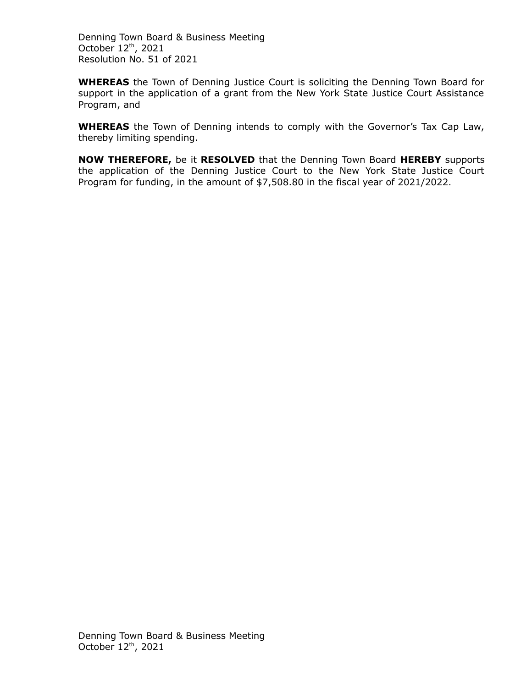Denning Town Board & Business Meeting October  $12<sup>th</sup>$ , 2021 Resolution No. 51 of 2021

**WHEREAS** the Town of Denning Justice Court is soliciting the Denning Town Board for support in the application of a grant from the New York State Justice Court Assistance Program, and

**WHEREAS** the Town of Denning intends to comply with the Governor's Tax Cap Law, thereby limiting spending.

**NOW THEREFORE,** be it **RESOLVED** that the Denning Town Board **HEREBY** supports the application of the Denning Justice Court to the New York State Justice Court Program for funding, in the amount of \$7,508.80 in the fiscal year of 2021/2022.